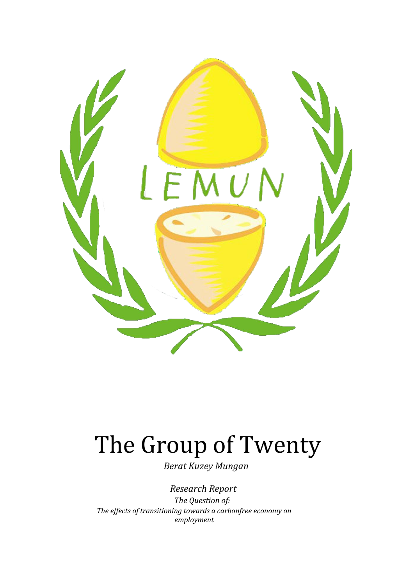

# The Group of Twenty

 *Berat Kuzey Mungan*

*Research Report*

*The Question of: The effects of transitioning towards a carbonfree economy on employment*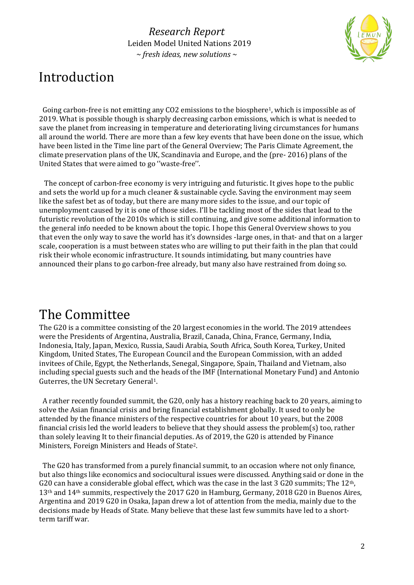

## Introduction

Going carbon-free is not emitting any CO2 emissions to the biosphere<sup>1</sup>, which is impossible as of 2019. What is possible though is sharply decreasing carbon emissions, which is what is needed to save the planet from increasing in temperature and deteriorating living circumstances for humans all around the world. There are more than a few key events that have been done on the issue, which have been listed in the Time line part of the General Overview; The Paris Climate Agreement, the climate preservation plans of the UK, Scandinavia and Europe, and the (pre- 2016) plans of the United States that were aimed to go ''waste-free''.

 The concept of carbon-free economy is very intriguing and futuristic. It gives hope to the public and sets the world up for a much cleaner & sustainable cycle. Saving the environment may seem like the safest bet as of today, but there are many more sides to the issue, and our topic of unemployment caused by it is one of those sides. I'll be tackling most of the sides that lead to the futuristic revolution of the 2010s which is still continuing, and give some additional information to the general info needed to be known about the topic. I hope this General Overview shows to you that even the only way to save the world has it's downsides -large ones, in that- and that on a larger scale, cooperation is a must between states who are willing to put their faith in the plan that could risk their whole economic infrastructure. It sounds intimidating, but many countries have announced their plans to go carbon-free already, but many also have restrained from doing so.

# The Committee

The G20 is a committee consisting of the 20 largest economies in the world. The 2019 attendees were the Presidents of Argentina, Australia, Brazil, Canada, China, France, Germany, India, Indonesia, Italy, Japan, Mexico, Russia, Saudi Arabia, South Africa, South Korea, Turkey, United Kingdom, United States, The European Council and the European Commission, with an added invitees of Chile, Egypt, the Netherlands, Senegal, Singapore, Spain, Thailand and Vietnam, also including special guests such and the heads of the IMF (International Monetary Fund) and Antonio Guterres, the UN Secretary General1.

 A rather recently founded summit, the G20, only has a history reaching back to 20 years, aiming to solve the Asian financial crisis and bring financial establishment globally. It used to only be attended by the finance ministers of the respective countries for about 10 years, but the 2008 financial crisis led the world leaders to believe that they should assess the problem(s) too, rather than solely leaving It to their financial deputies. As of 2019, the G20 is attended by Finance Ministers, Foreign Ministers and Heads of State2.

 The G20 has transformed from a purely financial summit, to an occasion where not only finance, but also things like economics and sociocultural issues were discussed. Anything said or done in the G20 can have a considerable global effect, which was the case in the last 3 G20 summits; The  $12<sup>th</sup>$ , 13th and 14th summits, respectively the 2017 G20 in Hamburg, Germany, 2018 G20 in Buenos Aires, Argentina and 2019 G20 in Osaka, Japan drew a lot of attention from the media, mainly due to the decisions made by Heads of State. Many believe that these last few summits have led to a shortterm tariff war.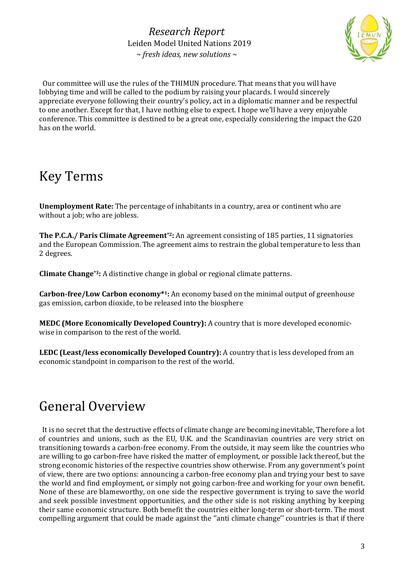

 Our committee will use the rules of the THIMUN procedure. That means that you will have lobbying time and will be called to the podium by raising your placards. I would sincerely appreciate everyone following their country's policy, act in a diplomatic manner and be respectful to one another. Except for that, I have nothing else to expect. I hope we'll have a very enjoyable conference. This committee is destined to be a great one, especially considering the impact the G20 has on the world.

# Key Terms

**Unemployment Rate:** The percentage of inhabitants in a country, area or continent who are without a job; who are jobless.

**The P.C.A./ Paris Climate Agreement\*2:** An agreement consisting of 185 parties, 11 signatories and the European Commission. The agreement aims to restrain the global temperature to less than 2 degrees.

**Climate Change\*3:** A distinctive change in global or regional climate patterns.

**Carbon-free/Low Carbon economy\*1:** An economy based on the minimal output of greenhouse gas emission, carbon dioxide, to be released into the biosphere

**MEDC (More Economically Developed Country):** A country that is more developed economicwise in comparison to the rest of the world.

**LEDC (Least/less economically Developed Country):** A country that is less developed from an economic standpoint in comparison to the rest of the world.

# General Overview

 It is no secret that the destructive effects of climate change are becoming inevitable, Therefore a lot of countries and unions, such as the EU, U.K. and the Scandinavian countries are very strict on transitioning towards a carbon-free economy. From the outside, it may seem like the countries who are willing to go carbon-free have risked the matter of employment, or possible lack thereof, but the strong economic histories of the respective countries show otherwise. From any government's point of view, there are two options: announcing a carbon-free economy plan and trying your best to save the world and find employment, or simply not going carbon-free and working for your own benefit. None of these are blameworthy, on one side the respective government is trying to save the world and seek possible investment opportunities, and the other side is not risking anything by keeping their same economic structure. Both benefit the countries either long-term or short-term. The most compelling argument that could be made against the ''anti climate change'' countries is that if there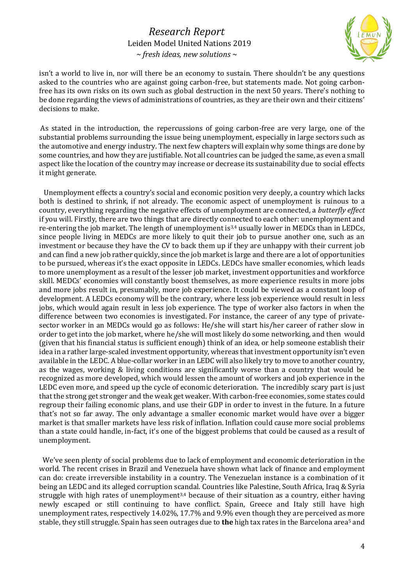

isn't a world to live in, nor will there be an economy to sustain. There shouldn't be any questions asked to the countries who are against going carbon-free, but statements made. Not going carbonfree has its own risks on its own such as global destruction in the next 50 years. There's nothing to be done regarding the views of administrations of countries, as they are their own and their citizens' decisions to make.

As stated in the introduction, the repercussions of going carbon-free are very large, one of the substantial problems surrounding the issue being unemployment, especially in large sectors such as the automotive and energy industry. The next few chapters will explain why some things are done by some countries, and how they are justifiable. Not all countries can be judged the same, as even a small aspect like the location of the country may increase or decrease its sustainability due to social effects it might generate.

 Unemployment effects a country's social and economic position very deeply, a country which lacks both is destined to shrink, if not already. The economic aspect of unemployment is ruinous to a country, everything regarding the negative effects of unemployment are connected, a *butterfly effect* if you will. Firstly, there are two things that are directly connected to each other: unemployment and re-entering the job market. The length of unemployment is3,4 usually lower in MEDCs than in LEDCs, since people living in MEDCs are more likely to quit their job to pursue another one, such as an investment or because they have the CV to back them up if they are unhappy with their current job and can find a new job rather quickly, since the job market is large and there are a lot of opportunities to be pursued, whereas it's the exact opposite in LEDCs. LEDCs have smaller economies, which leads to more unemployment as a result of the lesser job market, investment opportunities and workforce skill. MEDCs' economies will constantly boost themselves, as more experience results in more jobs and more jobs result in, presumably, more job experience. It could be viewed as a constant loop of development. A LEDCs economy will be the contrary, where less job experience would result in less jobs, which would again result in less job experience. The type of worker also factors in when the difference between two economies is investigated. For instance, the career of any type of privatesector worker in an MEDCs would go as follows: He/she will start his/her career of rather slow in order to get into the job market, where he/she will most likely do some networking, and then would (given that his financial status is sufficient enough) think of an idea, or help someone establish their idea in a rather large-scaled investment opportunity, whereas that investment opportunity isn't even available in the LEDC. A blue-collar worker in an LEDC will also likely try to move to another country, as the wages, working & living conditions are significantly worse than a country that would be recognized as more developed, which would lessen the amount of workers and job experience in the LEDC even more, and speed up the cycle of economic deterioration. The incredibly scary part is just that the strong get stronger and the weak get weaker. With carbon-free economies, some states could regroup their failing economic plans, and use their GDP in order to invest in the future. In a future that's not so far away. The only advantage a smaller economic market would have over a bigger market is that smaller markets have less risk of inflation. Inflation could cause more social problems than a state could handle, in-fact, it's one of the biggest problems that could be caused as a result of unemployment.

 We've seen plenty of social problems due to lack of employment and economic deterioration in the world. The recent crises in Brazil and Venezuela have shown what lack of finance and employment can do: create irreversible instability in a country. The Venezuelan instance is a combination of it being an LEDC and its alleged corruption scandal. Countries like Palestine, South Africa, Iraq & Syria struggle with high rates of unemployment<sup>3,4</sup> because of their situation as a country, either having newly escaped or still continuing to have conflict. Spain, Greece and Italy still have high unemployment rates, respectively 14.02%, 17.7% and 9.9% even though they are perceived as more stable, they still struggle. Spain has seen outrages due to **the** high tax rates in the Barcelona area<sup>5</sup> and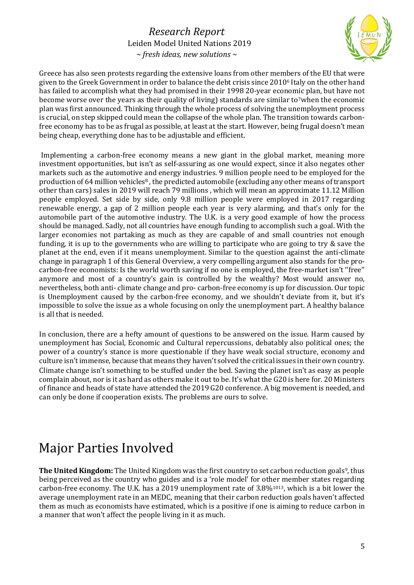

Greece has also seen protests regarding the extensive loans from other members of the EU that were given to the Greek Government in order to balance the debt crisis since 2010<sup>6</sup> Italy on the other hand has failed to accomplish what they had promised in their 1998 20-year economic plan, but have not become worse over the years as their quality of living) standards are similar to<sup>7</sup>when the economic plan was first announced. Thinking through the whole process of solving the unemployment process is crucial, on step skipped could mean the collapse of the whole plan. The transition towards carbonfree economy has to be as frugal as possible, at least at the start. However, being frugal doesn't mean being cheap, everything done has to be adjustable and efficient.

Implementing a carbon-free economy means a new giant in the global market, meaning more investment opportunities, but isn't as self-assuring as one would expect, since it also negates other markets such as the automotive and energy industries. 9 million people need to be employed for the production of 64 million vehicles<sup>8</sup>, the predicted automobile (excluding any other means of transport other than cars) sales in 2019 will reach 79 millions , which will mean an approximate 11.12 Million people employed. Set side by side, only 9.8 million people were employed in 2017 regarding renewable energy, a gap of 2 million people each year is very alarming, and that's only for the automobile part of the automotive industry. The U.K. is a very good example of how the process should be managed. Sadly, not all countries have enough funding to accomplish such a goal. With the larger economies not partaking as much as they are capable of and small countries not enough funding, it is up to the governments who are willing to participate who are going to try & save the planet at the end, even if it means unemployment. Similar to the question against the anti-climate change in paragraph 1 of this General Overview, a very compelling argument also stands for the procarbon-free economists: Is the world worth saving if no one is employed, the free-market isn't ''free'' anymore and most of a country's gain is controlled by the wealthy? Most would answer no, nevertheless, both anti- climate change and pro- carbon-free economy is up for discussion. Our topic is Unemployment caused by the carbon-free economy, and we shouldn't deviate from it, but it's impossible to solve the issue as a whole focusing on only the unemployment part. A healthy balance is all that is needed.

In conclusion, there are a hefty amount of questions to be answered on the issue. Harm caused by unemployment has Social, Economic and Cultural repercussions, debatably also political ones; the power of a country's stance is more questionable if they have weak social structure, economy and culture isn't immense, because that means they haven't solved the critical issues in their own country. Climate change isn't something to be stuffed under the bed. Saving the planet isn't as easy as people complain about, nor is it as hard as others make it out to be. It's what the G20 is here for. 20 Ministers of finance and heads of state have attended the 2019 G20 conference. A big movement is needed, and can only be done if cooperation exists. The problems are ours to solve.

# Major Parties Involved

**The United Kingdom:** The United Kingdom was the first country to set carbon reduction goals<sup>9</sup>, thus being perceived as the country who guides and is a 'role model' for other member states regarding carbon-free economy. The U.K. has a 2019 unemployment rate of  $3.8\%$ <sup>1013</sup>, which is a bit lower the average unemployment rate in an MEDC, meaning that their carbon reduction goals haven't affected them as much as economists have estimated, which is a positive if one is aiming to reduce carbon in a manner that won't affect the people living in it as much.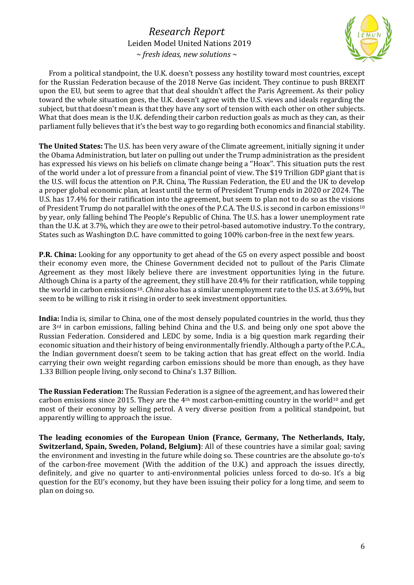

 From a political standpoint, the U.K. doesn't possess any hostility toward most countries, except for the Russian Federation because of the 2018 Nerve Gas incident. They continue to push BREXIT upon the EU, but seem to agree that that deal shouldn't affect the Paris Agreement. As their policy toward the whole situation goes, the U.K. doesn't agree with the U.S. views and ideals regarding the subject, but that doesn't mean is that they have any sort of tension with each other on other subjects. What that does mean is the U.K. defending their carbon reduction goals as much as they can, as their parliament fully believes that it's the best way to go regarding both economics and financial stability.

**The United States:** The U.S. has been very aware of the Climate agreement, initially signing it under the Obama Administration, but later on pulling out under the Trump administration as the president has expressed his views on his beliefs on climate change being a ''Hoax''. This situation puts the rest of the world under a lot of pressure from a financial point of view. The \$19 Trillion GDP giant that is the U.S. will focus the attention on P.R. China, The Russian Federation, the EU and the UK to develop a proper global economic plan, at least until the term of President Trump ends in 2020 or 2024. The U.S. has 17.4% for their ratification into the agreement, but seem to plan not to do so as the visions of President Trump do not parallel with the ones of the P.C.A. The U.S. is second in carbon emissions<sup>10</sup> by year, only falling behind The People's Republic of China. The U.S. has a lower unemployment rate than the U.K. at 3.7%, which they are owe to their petrol-based automotive industry. To the contrary, States such as Washington D.C. have committed to going 100% carbon-free in the next few years.

**P.R. China:** Looking for any opportunity to get ahead of the G5 on every aspect possible and boost their economy even more, the Chinese Government decided not to pullout of the Paris Climate Agreement as they most likely believe there are investment opportunities lying in the future. Although China is a party of the agreement, they still have 20.4% for their ratification, while topping the world in carbon emissions<sup>10</sup>. *China* also has a similar unemployment rate to the U.S. at 3.69%, but seem to be willing to risk it rising in order to seek investment opportunities.

**India:** India is, similar to China, one of the most densely populated countries in the world, thus they are  $3<sup>rd</sup>$  in carbon emissions, falling behind China and the U.S. and being only one spot above the Russian Federation. Considered and LEDC by some, India is a big question mark regarding their economic situation and their history of being environmentally friendly. Although a party of the P.C.A., the Indian government doesn't seem to be taking action that has great effect on the world. India carrying their own weight regarding carbon emissions should be more than enough, as they have 1.33 Billion people living, only second to China's 1.37 Billion.

**The Russian Federation:** The Russian Federation is a signee of the agreement, and has lowered their carbon emissions since 2015. They are the  $4<sup>th</sup>$  most carbon-emitting country in the world<sup>10</sup> and get most of their economy by selling petrol. A very diverse position from a political standpoint, but apparently willing to approach the issue.

**The leading economies of the European Union (France, Germany, The Netherlands, Italy, Switzerland, Spain, Sweden, Poland, Belgium)**: All of these countries have a similar goal; saving the environment and investing in the future while doing so. These countries are the absolute go-to's of the carbon-free movement (With the addition of the U.K.) and approach the issues directly, definitely, and give no quarter to anti-environmental policies unless forced to do-so. It's a big question for the EU's economy, but they have been issuing their policy for a long time, and seem to plan on doing so.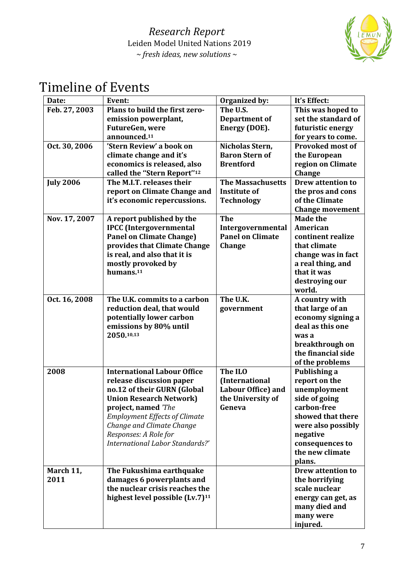

# Timeline of Events

| Date:            | Event:                                      | Organized by:             | It's Effect:             |
|------------------|---------------------------------------------|---------------------------|--------------------------|
| Feb. 27, 2003    | Plans to build the first zero-              | The U.S.                  | This was hoped to        |
|                  | emission powerplant,                        | Department of             | set the standard of      |
|                  | FutureGen, were                             | Energy (DOE).             | futuristic energy        |
|                  | announced. <sup>11</sup>                    |                           | for years to come.       |
| Oct. 30, 2006    | 'Stern Review' a book on                    | Nicholas Stern,           | <b>Provoked most of</b>  |
|                  | climate change and it's                     | <b>Baron Stern of</b>     | the European             |
|                  | economics is released, also                 | <b>Brentford</b>          | region on Climate        |
|                  | called the "Stern Report" <sup>12</sup>     |                           | <b>Change</b>            |
| <b>July 2006</b> | The M.I.T. releases their                   | <b>The Massachusetts</b>  | <b>Drew attention to</b> |
|                  | report on Climate Change and                | <b>Institute of</b>       | the pros and cons        |
|                  | it's economic repercussions.                | <b>Technology</b>         | of the Climate           |
|                  |                                             |                           | <b>Change movement</b>   |
| Nov. 17, 2007    | A report published by the                   | <b>The</b>                | <b>Made the</b>          |
|                  | <b>IPCC</b> (Intergovernmental              | Intergovernmental         | American                 |
|                  | <b>Panel on Climate Change)</b>             | <b>Panel on Climate</b>   | continent realize        |
|                  | provides that Climate Change                | Change                    | that climate             |
|                  | is real, and also that it is                |                           | change was in fact       |
|                  | mostly provoked by                          |                           | a real thing, and        |
|                  | humans. <sup>11</sup>                       |                           | that it was              |
|                  |                                             |                           | destroying our           |
|                  |                                             |                           | world.                   |
| Oct. 16, 2008    | The U.K. commits to a carbon                | The U.K.                  | A country with           |
|                  | reduction deal, that would                  | government                | that large of an         |
|                  | potentially lower carbon                    |                           | economy signing a        |
|                  | emissions by 80% until                      |                           | deal as this one         |
|                  | 2050.10,13                                  |                           | was a                    |
|                  |                                             |                           | breakthrough on          |
|                  |                                             |                           | the financial side       |
|                  |                                             |                           | of the problems          |
| 2008             | <b>International Labour Office</b>          | The ILO                   | Publishing a             |
|                  | release discussion paper                    | (International            | report on the            |
|                  | no.12 of their GURN (Global                 | <b>Labour Office) and</b> | unemployment             |
|                  | <b>Union Research Network)</b>              | the University of         | side of going            |
|                  | project, named 'The                         | Geneva                    | carbon-free              |
|                  | <b>Employment Effects of Climate</b>        |                           | showed that there        |
|                  | Change and Climate Change                   |                           | were also possibly       |
|                  | Responses: A Role for                       |                           | negative                 |
|                  | International Labor Standards?'             |                           | consequences to          |
|                  |                                             |                           | the new climate          |
|                  |                                             |                           | plans.                   |
| March 11,        | The Fukushima earthquake                    |                           | <b>Drew attention to</b> |
| 2011             | damages 6 powerplants and                   |                           | the horrifying           |
|                  | the nuclear crisis reaches the              |                           | scale nuclear            |
|                  | highest level possible (Lv.7) <sup>11</sup> |                           | energy can get, as       |
|                  |                                             |                           | many died and            |
|                  |                                             |                           | many were                |
|                  |                                             |                           | injured.                 |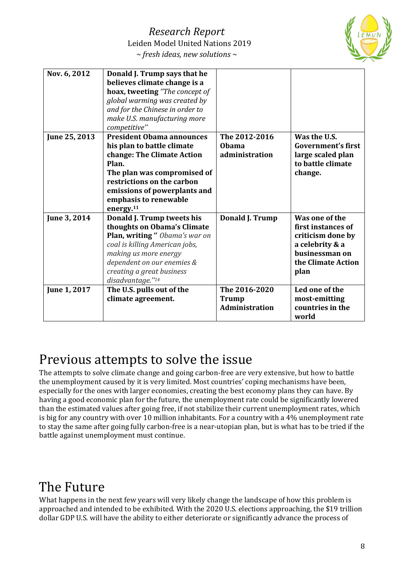

| Nov. 6, 2012  | Donald J. Trump says that he<br>believes climate change is a<br>hoax, tweeting "The concept of<br>global warming was created by<br>and for the Chinese in order to<br>make U.S. manufacturing more<br>competitive"                                   |                                                        |                                                                                                                              |
|---------------|------------------------------------------------------------------------------------------------------------------------------------------------------------------------------------------------------------------------------------------------------|--------------------------------------------------------|------------------------------------------------------------------------------------------------------------------------------|
| June 25, 2013 | <b>President Obama announces</b><br>his plan to battle climate<br>change: The Climate Action<br>Plan.<br>The plan was compromised of<br>restrictions on the carbon<br>emissions of powerplants and<br>emphasis to renewable<br>energy. <sup>11</sup> | The 2012-2016<br>Obama<br>administration               | Was the U.S.<br>Government's first<br>large scaled plan<br>to battle climate<br>change.                                      |
| June 3, 2014  | Donald J. Trump tweets his<br>thoughts on Obama's Climate<br>Plan, writing " Obama's war on<br>coal is killing American jobs,<br>making us more energy<br>dependent on our enemies &<br>creating a great business<br>disadvantage."14                | Donald J. Trump                                        | Was one of the<br>first instances of<br>criticism done by<br>a celebrity & a<br>businessman on<br>the Climate Action<br>plan |
| June 1, 2017  | The U.S. pulls out of the<br>climate agreement.                                                                                                                                                                                                      | The 2016-2020<br><b>Trump</b><br><b>Administration</b> | Led one of the<br>most-emitting<br>countries in the<br>world                                                                 |

## Previous attempts to solve the issue

The attempts to solve climate change and going carbon-free are very extensive, but how to battle the unemployment caused by it is very limited. Most countries' coping mechanisms have been, especially for the ones with larger economies, creating the best economy plans they can have. By having a good economic plan for the future, the unemployment rate could be significantly lowered than the estimated values after going free, if not stabilize their current unemployment rates, which is big for any country with over 10 million inhabitants. For a country with a 4% unemployment rate to stay the same after going fully carbon-free is a near-utopian plan, but is what has to be tried if the battle against unemployment must continue.

## The Future

What happens in the next few years will very likely change the landscape of how this problem is approached and intended to be exhibited. With the 2020 U.S. elections approaching, the \$19 trillion dollar GDP U.S. will have the ability to either deteriorate or significantly advance the process of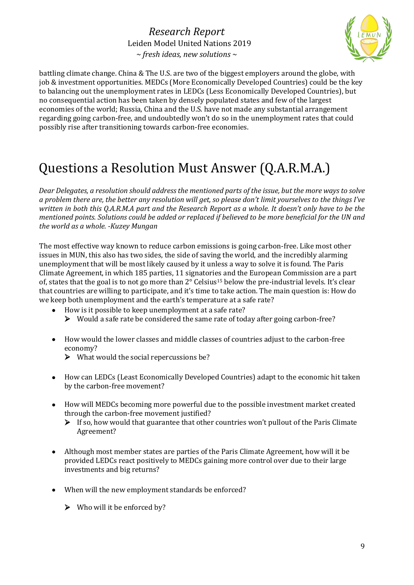

battling climate change. China & The U.S. are two of the biggest employers around the globe, with job & investment opportunities. MEDCs (More Economically Developed Countries) could be the key to balancing out the unemployment rates in LEDCs (Less Economically Developed Countries), but no consequential action has been taken by densely populated states and few of the largest economies of the world; Russia, China and the U.S. have not made any substantial arrangement regarding going carbon-free, and undoubtedly won't do so in the unemployment rates that could possibly rise after transitioning towards carbon-free economies.

# Questions a Resolution Must Answer (Q.A.R.M.A.)

*Dear Delegates, a resolution should address the mentioned parts of the issue, but the more ways to solve a problem there are, the better any resolution will get, so please don't limit yourselves to the things I've written in both this Q.A.R.M.A part and the Research Report as a whole. It doesn't only have to be the mentioned points. Solutions could be added or replaced if believed to be more beneficial for the UN and the world as a whole. -Kuzey Mungan*

The most effective way known to reduce carbon emissions is going carbon-free. Like most other issues in MUN, this also has two sides, the side of saving the world, and the incredibly alarming unemployment that will be most likely caused by it unless a way to solve it is found. The Paris Climate Agreement, in which 185 parties, 11 signatories and the European Commission are a part of, states that the goal is to not go more than 2° Celsius<sup>15</sup> below the pre-industrial levels. It's clear that countries are willing to participate, and it's time to take action. The main question is: How do we keep both unemployment and the earth's temperature at a safe rate?

- How is it possible to keep unemployment at a safe rate?  $\triangleright$  Would a safe rate be considered the same rate of today after going carbon-free?
- How would the lower classes and middle classes of countries adjust to the carbon-free economy?
	- $\triangleright$  What would the social repercussions be?
- How can LEDCs (Least Economically Developed Countries) adapt to the economic hit taken by the carbon-free movement?
- How will MEDCs becoming more powerful due to the possible investment market created through the carbon-free movement justified?
	- $\triangleright$  If so, how would that guarantee that other countries won't pullout of the Paris Climate Agreement?
- Although most member states are parties of the Paris Climate Agreement, how will it be provided LEDCs react positively to MEDCs gaining more control over due to their large investments and big returns?
- When will the new employment standards be enforced?
	- $\triangleright$  Who will it be enforced by?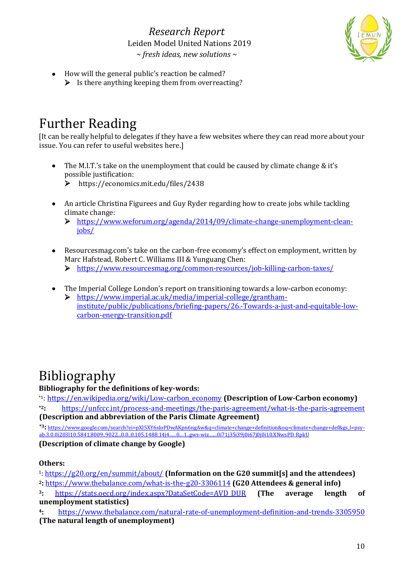

• How will the general public's reaction be calmed?  $\triangleright$  Is there anything keeping them from overreacting?

## Further Reading

[It can be really helpful to delegates if they have a few websites where they can read more about your issue. You can refer to useful websites here.]

• The M.I.T.'s take on the unemployment that could be caused by climate change  $&$  it's possible justification:

https://economics.mit.edu/files/2438

- An article Christina Figurees and Guy Ryder regarding how to create jobs while tackling climate change:
	- [https://www.weforum.org/agenda/2014/09/climate-change-unemployment-clean](https://www.weforum.org/agenda/2014/09/climate-change-unemployment-clean-jobs/)[jobs/](https://www.weforum.org/agenda/2014/09/climate-change-unemployment-clean-jobs/)
- Resourcesmag.com's take on the carbon-free economy's effect on employment, written by Marc Hafstead, Robert C. Williams III & Yunguang Chen:
	- <https://www.resourcesmag.org/common-resources/job-killing-carbon-taxes/>
- The Imperial College London's report on transitioning towards a low-carbon economy:
	- [https://www.imperial.ac.uk/media/imperial-college/grantham](https://www.imperial.ac.uk/media/imperial-college/grantham-institute/public/publications/briefing-papers/26.-Towards-a-just-and-equitable-low-carbon-energy-transition.pdf)[institute/public/publications/briefing-papers/26.-Towards-a-just-and-equitable-low](https://www.imperial.ac.uk/media/imperial-college/grantham-institute/public/publications/briefing-papers/26.-Towards-a-just-and-equitable-low-carbon-energy-transition.pdf)[carbon-energy-transition.pdf](https://www.imperial.ac.uk/media/imperial-college/grantham-institute/public/publications/briefing-papers/26.-Towards-a-just-and-equitable-low-carbon-energy-transition.pdf)

# Bibliography

**Bibliography for the definitions of key-words:**

\*1: [https://en.wikipedia.org/wiki/Low-carbon\\_economy](https://en.wikipedia.org/wiki/Low-carbon_economy) **(Description of Low-Carbon economy)**

**\*2:** <https://unfccc.int/process-and-meetings/the-paris-agreement/what-is-the-paris-agreement> **(Description and abbreviation of the Paris Climate Agreement)**

**\*3:** [https://www.google.com/search?ei=pXI5XY6sIoPDwAKpn6ngAw&q=climate+change+definition&oq=climate+change+def&gs\\_l=psy](https://www.google.com/search?ei=pXI5XY6sIoPDwAKpn6ngAw&q=climate+change+definition&oq=climate+change+def&gs_l=psy-ab.3.0.0i203l10.5841.8009..9022...0.0..0.105.1488.14j4......0....1..gws-wiz.......0i71j35i39j0i67j0j0i10.XNwsPD_RpkU)[ab.3.0.0i203l10.5841.8009..9022...0.0..0.105.1488.14j4......0....1..gws-wiz.......0i71j35i39j0i67j0j0i10.XNwsPD\\_RpkU](https://www.google.com/search?ei=pXI5XY6sIoPDwAKpn6ngAw&q=climate+change+definition&oq=climate+change+def&gs_l=psy-ab.3.0.0i203l10.5841.8009..9022...0.0..0.105.1488.14j4......0....1..gws-wiz.......0i71j35i39j0i67j0j0i10.XNwsPD_RpkU)

**(Description of climate change by Google)**

#### **Others:**

<sup>1</sup>:<https://g20.org/en/summit/about/> **(Information on the G20 summit[s] and the attendees)**

**<sup>2</sup>:** <https://www.thebalance.com/what-is-the-g20-3306114> **(G20 Attendees & general info)**

**<sup>3</sup>:** [https://stats.oecd.org/index.aspx?DataSetCode=AVD\\_DUR](https://stats.oecd.org/index.aspx?DataSetCode=AVD_DUR) **(The average length of unemployment statistics)**

**<sup>4</sup>:** <https://www.thebalance.com/natural-rate-of-unemployment-definition-and-trends-3305950> **(The natural length of unemployment)**